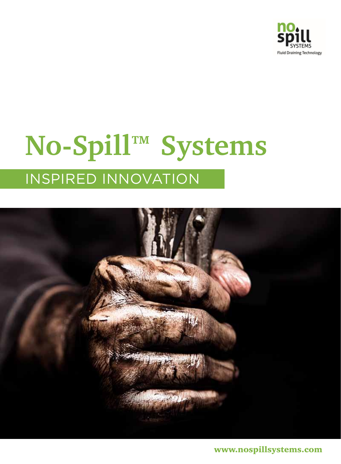

## **No-Spill™ Systems** Inspired innovation



www.nospillsystems.com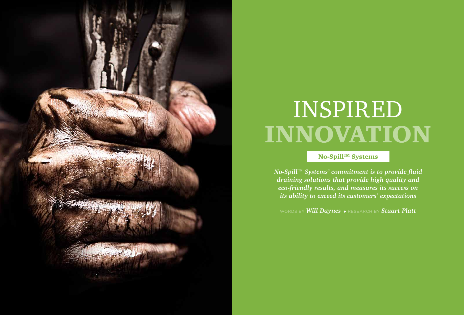

# INNOVATION Inspired

No-Spill™ Systems

*No-Spill™ Systems' commitment is to provide fluid draining solutions that provide high quality and eco-friendly results, and measures its success on its ability to exceed its customers' expectations*

words by **Will Daynes**  $\triangleright$  research by **Stuart Platt**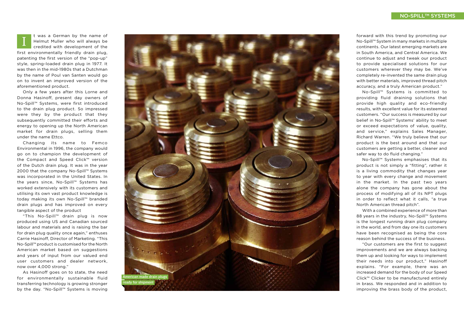Only a few years after this Lorne and Donna Hasinoff, present day owners of No-Spill™ Systems, were first introduced to the drain plug product. So impressed were they by the product that they subsequently committed their efforts and energy to opening up the North American market for drain plugs, selling them under the name Ettco.

As Hasinoff goes on to state, the need for environmentally sustainable fluid transferring technology is growing stronger by the day. "No-Spill™ Systems is moving

Changing its name to Femco Environmental in 1996, the company would go on to champion the development of the Compact and Speed Click™ version of the Dutch drain plug. It was in the year 2000 that the company No-Spill™ Systems was incorporated in the United States. In the years since, No-Spill™ Systems has worked extensively with its customers and utilising its own vast product knowledge is today making its own No-Spill™ branded drain plugs and has improved on every tangible aspect of the product

"This No-Spill™ drain plug is now produced using US and Canadian sourced labour and materials and is raising the bar for drain plug quality once again," enthuses Carrie Hasinoff, Director of Marketing. "This No-Spill™ product is customised for the North American market based on suggestions and years of input from our valued end user customers and dealer network, now over 4,000 strong."

t was a German by the name of Helmut Muller who will always be credited with development of the first environmentally friendly drain plug, patenting the first version of the "pop-up" style, spring-loaded drain plug in 1977. It was then in the mid-1980s that a Dutchman by the name of Poul van Santen would go on to invent an improved version of the aforementioned product. I

forward with this trend by promoting our No-Spill™ System in many markets in multiple continents. Our latest emerging markets are in South America, and Central America. We continue to adjust and tweak our product to provide specialised solutions for our customers wherever they may be. We've completely re-invented the same drain plug with better materials, improved thread pitch accuracy, and a truly American product."

No-Spill™ Systems is committed to providing fluid draining solutions that provide high quality and eco-friendly results, with excellent value for its esteemed customers. " Our success is measured by our belief in No-Spill™ Systems' ability to meet or exceed expectations of value, quality, and service," explains Sales Manager, Richard Warren. " We truly believe that our product is the best around and that our customers are getting a better, cleaner and safer way to do fluid changing."

No-Spill™ Systems emphasises that its product is not simply a "fitting", rather it is a living commodity that changes year to year with every change and movement in the market. In the past two years alone the company has gone about the process of modifying all of its NPT plugs in order to reflect what it calls, "a true North American thread pitch".

With a combined experience of more than 88 years in the industry, No-Spill™ Systems is the longest running drain plug company in the world, and from day one its customers have been recognised as being the core reason behind the success of the business.

"Our customers are the first to suggest improvements and we are always backing them up and looking for ways to implement their needs into our product," Hasinoff explains. "For example, there was an increased demand for the body of our Speed Click™ Clicker to be manufactured entirely in brass. We responded and in addition to improving the brass body of the product,



### NO-SPILL™ SYSTEM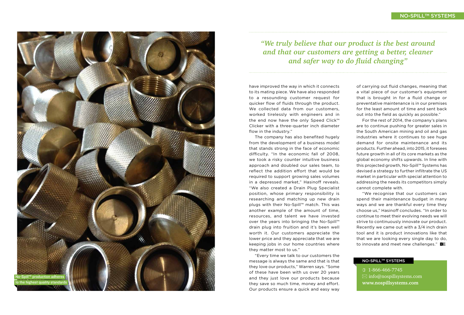have improved the way in which it connects to its mating piece. We have also responded to a resounding customer request for quicker flow of fluids through the product. We collected data from our customers, worked tirelessly with engineers and in the end now have the only Speed Click™ Clicker with a three-quarter inch diameter flow in the industry." The company has also benefited hugely

from the development of a business model that stands strong in the face of economic difficulty. "In the economic fall of 2008, we took a risky counter intuitive business approach and doubled our sales team, to reflect the addition effort that would be required to support growing sales volumes in a depressed market," Hasinoff reveals. " We also created a Drain Plug Specialist position, whose primary responsibility is researching and matching up new drain plugs with their No-Spill™ match. This was another example of the amount of time, resources, and talent we have invested over the years into bringing the No-Spill™ drain plug into fruition and it's been well worth it. Our customers appreciate the lower price and they appreciate that we are keeping jobs in our home countries where they matter most to us."

"We recognise that our customers can spend their maintenance budget in many ways and we are thankful every time they choose us," Hasinoff concludes. "In order to continue to meet their evolving needs we will strive to continuously innovate our product. Recently we came out with a 3/4 inch drain tool and it is product innovations like that that we are looking every single day to do, to innovate and meet new challenges." BE

#### NO-SPILL™ SYSTEM

"Every time we talk to our customers the message is always the same and that is that they love our products," Warren says. " Some of these have been with us over 20 years and they just love our products because they save so much time, money and effort. Our products ensure a quick and easy way



of carrying out fluid changes, meaning that a vital piece of our customer's equipment that is brought in for a fluid change or preventative maintenance is in our premises for the least amount of time and sent back out into the field as quickly as possible."

For the rest of 2014, the company's plans are to continue pushing for greater sales in the South American mining and oil and gas industries where it continues to see huge demand for onsite maintenance and its products. Further ahead, into 2015, it foresees future growth in all of its core markets as the global economy shifts upwards. In line with this projected growth, No-Spill™ Systems has devised a strategy to further infiltrate the US market in particular with special attention to addressing the needs its competitors simply cannot complete with.



 1-866-466-7745  $\boxtimes$  info@nospillsystems.com **www.nospillsystems.com**

### *"We truly believe that our product is the best around and that our customers are getting a better, cleaner and safer way to do fluid changing"*